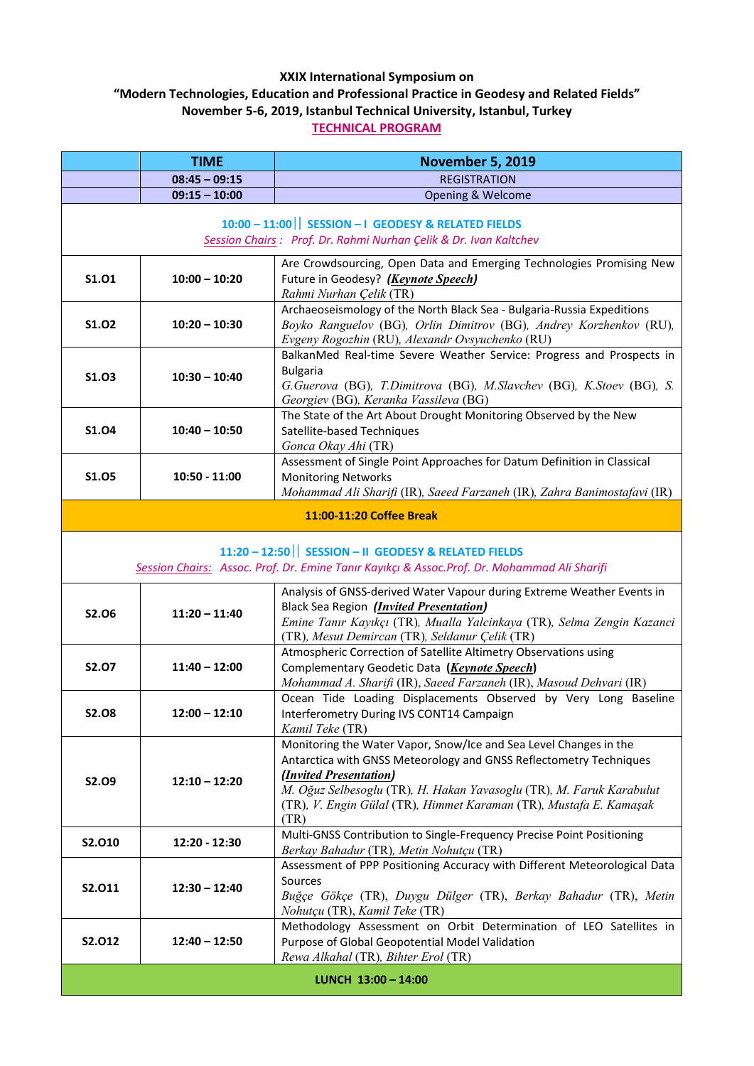## **XXIX International Symposium on**

**"Modern Technologies, Education and Professional Practice in Geodesy and Related Fields" November 5‐6, 2019, Istanbul Technical University, Istanbul, Turkey**

**TECHNICAL PROGRAM**

|                                                                                                                                                      | <b>TIME</b>     | <b>November 5, 2019</b>                                                                                                                                                                                                                                                                                                 |
|------------------------------------------------------------------------------------------------------------------------------------------------------|-----------------|-------------------------------------------------------------------------------------------------------------------------------------------------------------------------------------------------------------------------------------------------------------------------------------------------------------------------|
|                                                                                                                                                      | $08:45 - 09:15$ | <b>REGISTRATION</b>                                                                                                                                                                                                                                                                                                     |
|                                                                                                                                                      | $09:15 - 10:00$ | Opening & Welcome                                                                                                                                                                                                                                                                                                       |
| 10:00 - 11:00   SESSION - I GEODESY & RELATED FIELDS<br>Session Chairs : Prof. Dr. Rahmi Nurhan Çelik & Dr. Ivan Kaltchev                            |                 |                                                                                                                                                                                                                                                                                                                         |
| S1.01                                                                                                                                                | $10:00 - 10:20$ | Are Crowdsourcing, Open Data and Emerging Technologies Promising New<br>Future in Geodesy? (Keynote Speech)<br>Rahmi Nurhan Çelik (TR)                                                                                                                                                                                  |
| S1.02                                                                                                                                                | $10:20 - 10:30$ | Archaeoseismology of the North Black Sea - Bulgaria-Russia Expeditions<br>Boyko Ranguelov (BG), Orlin Dimitrov (BG), Andrey Korzhenkov (RU),<br>Evgeny Rogozhin (RU), Alexandr Ovsyuchenko (RU)                                                                                                                         |
| S1.03                                                                                                                                                | $10:30 - 10:40$ | BalkanMed Real-time Severe Weather Service: Progress and Prospects in<br><b>Bulgaria</b><br>G.Guerova (BG), T.Dimitrova (BG), M.Slavchev (BG), K.Stoev (BG), S.<br>Georgiev (BG), Keranka Vassileva (BG)                                                                                                                |
| S1.04                                                                                                                                                | $10:40 - 10:50$ | The State of the Art About Drought Monitoring Observed by the New<br>Satellite-based Techniques<br>Gonca Okay Ahi (TR)                                                                                                                                                                                                  |
| <b>S1.05</b>                                                                                                                                         | $10:50 - 11:00$ | Assessment of Single Point Approaches for Datum Definition in Classical<br><b>Monitoring Networks</b><br>Mohammad Ali Sharifi (IR), Saeed Farzaneh (IR), Zahra Banimostafavi (IR)                                                                                                                                       |
| 11:00-11:20 Coffee Break                                                                                                                             |                 |                                                                                                                                                                                                                                                                                                                         |
| 11:20 - 12:50   SESSION - II GEODESY & RELATED FIELDS<br>Session Chairs: Assoc. Prof. Dr. Emine Tanır Kayıkçı & Assoc.Prof. Dr. Mohammad Ali Sharifi |                 |                                                                                                                                                                                                                                                                                                                         |
| <b>S2.06</b>                                                                                                                                         | $11:20 - 11:40$ | Analysis of GNSS-derived Water Vapour during Extreme Weather Events in<br>Black Sea Region ( <i>Invited Presentation</i> )<br>Emine Tanır Kayıkçı (TR), Mualla Yalcinkaya (TR), Selma Zengin Kazanci<br>(TR), Mesut Demircan (TR), Seldanur Çelik (TR)                                                                  |
| <b>S2.07</b>                                                                                                                                         | $11:40 - 12:00$ | Atmospheric Correction of Satellite Altimetry Observations using<br>Complementary Geodetic Data (Keynote Speech)<br>Mohammad A. Sharifi (IR), Saeed Farzaneh (IR), Masoud Dehvari (IR)                                                                                                                                  |
| <b>S2.08</b>                                                                                                                                         | $12:00 - 12:10$ | Ocean Tide Loading Displacements Observed by Very Long Baseline<br>Interferometry During IVS CONT14 Campaign<br>Kamil Teke (TR)                                                                                                                                                                                         |
| S2.09                                                                                                                                                | $12:10 - 12:20$ | Monitoring the Water Vapor, Snow/Ice and Sea Level Changes in the<br>Antarctica with GNSS Meteorology and GNSS Reflectometry Techniques<br>(Invited Presentation)<br>M. Oğuz Selbesoglu (TR), H. Hakan Yavasoglu (TR), M. Faruk Karabulut<br>(TR), V. Engin Gülal (TR), Himmet Karaman (TR), Mustafa E. Kamaşak<br>(TR) |
| S2.010                                                                                                                                               | 12:20 - 12:30   | Multi-GNSS Contribution to Single-Frequency Precise Point Positioning<br>Berkay Bahadur (TR), Metin Nohutçu (TR)                                                                                                                                                                                                        |
| S2.011                                                                                                                                               | $12:30 - 12:40$ | Assessment of PPP Positioning Accuracy with Different Meteorological Data<br>Sources<br>Buğçe Gökçe (TR), Duygu Dülger (TR), Berkay Bahadur (TR), Metin<br>Nohutçu (TR), Kamil Teke (TR)                                                                                                                                |
| S2.012                                                                                                                                               | $12:40 - 12:50$ | Methodology Assessment on Orbit Determination of LEO Satellites in<br>Purpose of Global Geopotential Model Validation<br>Rewa Alkahal (TR), Bihter Erol (TR)                                                                                                                                                            |
| LUNCH 13:00 - 14:00                                                                                                                                  |                 |                                                                                                                                                                                                                                                                                                                         |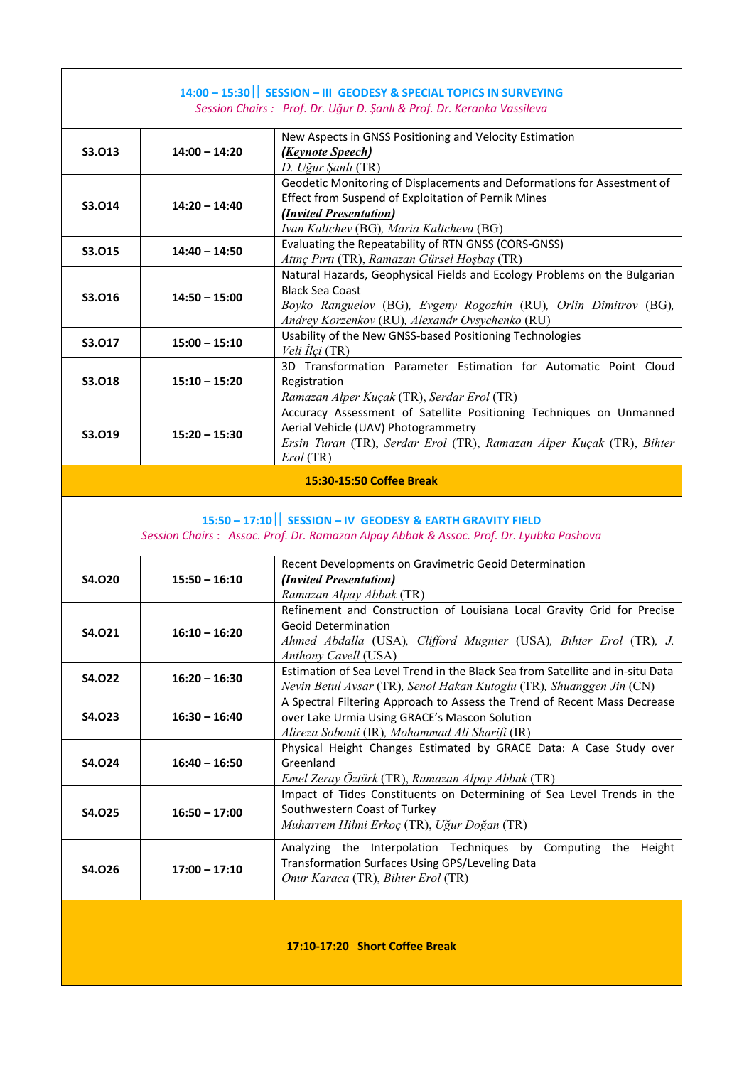| 14:00 - 15:30   SESSION - III GEODESY & SPECIAL TOPICS IN SURVEYING<br>Session Chairs : Prof. Dr. Uğur D. Şanlı & Prof. Dr. Keranka Vassileva |                 |                                                                                                                           |
|-----------------------------------------------------------------------------------------------------------------------------------------------|-----------------|---------------------------------------------------------------------------------------------------------------------------|
|                                                                                                                                               |                 |                                                                                                                           |
|                                                                                                                                               |                 | New Aspects in GNSS Positioning and Velocity Estimation                                                                   |
| S3.013                                                                                                                                        | $14:00 - 14:20$ | (Keynote Speech)                                                                                                          |
|                                                                                                                                               |                 | D. Uğur Şanlı (TR)                                                                                                        |
|                                                                                                                                               |                 | Geodetic Monitoring of Displacements and Deformations for Assestment of                                                   |
| S3.014                                                                                                                                        | $14:20 - 14:40$ | Effect from Suspend of Exploitation of Pernik Mines                                                                       |
|                                                                                                                                               |                 | ( <i>Invited Presentation</i> )                                                                                           |
|                                                                                                                                               |                 | Ivan Kaltchev (BG), Maria Kaltcheva (BG)                                                                                  |
| S3.015                                                                                                                                        | $14:40 - 14:50$ | Evaluating the Repeatability of RTN GNSS (CORS-GNSS)                                                                      |
|                                                                                                                                               |                 | Atınç Pırtı (TR), Ramazan Gürsel Hoşbaş (TR)<br>Natural Hazards, Geophysical Fields and Ecology Problems on the Bulgarian |
|                                                                                                                                               |                 | <b>Black Sea Coast</b>                                                                                                    |
| S3.016                                                                                                                                        | $14:50 - 15:00$ | Boyko Ranguelov (BG), Evgeny Rogozhin (RU), Orlin Dimitrov (BG),                                                          |
|                                                                                                                                               |                 | Andrey Korzenkov (RU), Alexandr Ovsychenko (RU)                                                                           |
|                                                                                                                                               |                 | Usability of the New GNSS-based Positioning Technologies                                                                  |
| S3.017                                                                                                                                        | $15:00 - 15:10$ | Veli İlçi (TR)                                                                                                            |
|                                                                                                                                               |                 | 3D Transformation Parameter Estimation for Automatic Point Cloud                                                          |
| S3.018                                                                                                                                        | $15:10 - 15:20$ | Registration                                                                                                              |
|                                                                                                                                               |                 | Ramazan Alper Kuçak (TR), Serdar Erol (TR)                                                                                |
|                                                                                                                                               |                 | Accuracy Assessment of Satellite Positioning Techniques on Unmanned                                                       |
| S3.019                                                                                                                                        | $15:20 - 15:30$ | Aerial Vehicle (UAV) Photogrammetry                                                                                       |
|                                                                                                                                               |                 | Ersin Turan (TR), Serdar Erol (TR), Ramazan Alper Kuçak (TR), Bihter                                                      |
|                                                                                                                                               |                 | Erol (TR)                                                                                                                 |
|                                                                                                                                               |                 | 15:30-15:50 Coffee Break                                                                                                  |
|                                                                                                                                               |                 |                                                                                                                           |
|                                                                                                                                               |                 |                                                                                                                           |
|                                                                                                                                               |                 | 15:50 - 17:10   SESSION - IV GEODESY & EARTH GRAVITY FIELD                                                                |
|                                                                                                                                               |                 | Session Chairs: Assoc. Prof. Dr. Ramazan Alpay Abbak & Assoc. Prof. Dr. Lyubka Pashova                                    |
|                                                                                                                                               |                 |                                                                                                                           |
| S4.020                                                                                                                                        | $15:50 - 16:10$ | Recent Developments on Gravimetric Geoid Determination<br>( <i>Invited Presentation</i> )                                 |
|                                                                                                                                               |                 | Ramazan Alpay Abbak (TR)                                                                                                  |
|                                                                                                                                               |                 | Refinement and Construction of Louisiana Local Gravity Grid for Precise                                                   |
|                                                                                                                                               |                 | <b>Geoid Determination</b>                                                                                                |
| S4.021                                                                                                                                        | $16:10 - 16:20$ | Ahmed Abdalla (USA), Clifford Mugnier (USA), Bihter Erol (TR), J.                                                         |
|                                                                                                                                               |                 | Anthony Cavell (USA)                                                                                                      |
| S4.022                                                                                                                                        | $16:20 - 16:30$ | Estimation of Sea Level Trend in the Black Sea from Satellite and in-situ Data                                            |
|                                                                                                                                               |                 | Nevin Betul Avsar (TR), Senol Hakan Kutoglu (TR), Shuanggen Jin (CN)                                                      |
|                                                                                                                                               |                 | A Spectral Filtering Approach to Assess the Trend of Recent Mass Decrease                                                 |
| S4.023                                                                                                                                        | $16:30 - 16:40$ | over Lake Urmia Using GRACE's Mascon Solution                                                                             |
|                                                                                                                                               |                 | Alireza Sobouti (IR), Mohammad Ali Sharifi (IR)                                                                           |
| S4.024                                                                                                                                        | $16:40 - 16:50$ | Physical Height Changes Estimated by GRACE Data: A Case Study over<br>Greenland                                           |
|                                                                                                                                               |                 | Emel Zeray Öztürk (TR), Ramazan Alpay Abbak (TR)                                                                          |
|                                                                                                                                               |                 | Impact of Tides Constituents on Determining of Sea Level Trends in the                                                    |
| S4.025                                                                                                                                        | $16:50 - 17:00$ | Southwestern Coast of Turkey                                                                                              |
|                                                                                                                                               |                 | Muharrem Hilmi Erkoç (TR), Uğur Doğan (TR)                                                                                |
|                                                                                                                                               |                 |                                                                                                                           |
| S4.026                                                                                                                                        | $17:00 - 17:10$ | Analyzing the Interpolation Techniques by<br>Computing the Height<br>Transformation Surfaces Using GPS/Leveling Data      |

**17:10‐17:20 Short Coffee Break**

*Onur Karaca* (TR), *Bihter Erol* (TR)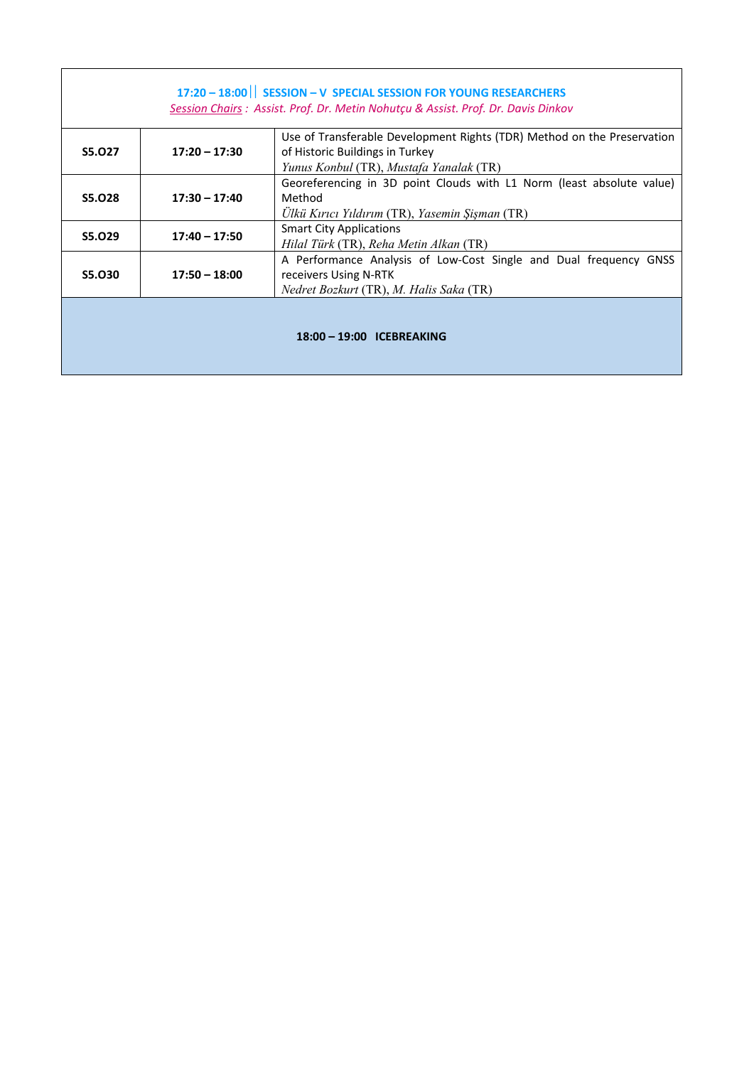| 17:20 - 18:00   SESSION - V SPECIAL SESSION FOR YOUNG RESEARCHERS<br>Session Chairs : Assist. Prof. Dr. Metin Nohutçu & Assist. Prof. Dr. Davis Dinkov |                 |                                                                                                                                                       |
|--------------------------------------------------------------------------------------------------------------------------------------------------------|-----------------|-------------------------------------------------------------------------------------------------------------------------------------------------------|
| S5.027                                                                                                                                                 | $17:20 - 17:30$ | Use of Transferable Development Rights (TDR) Method on the Preservation<br>of Historic Buildings in Turkey<br>Yunus Konbul (TR), Mustafa Yanalak (TR) |
| S5.028                                                                                                                                                 | $17:30 - 17:40$ | Georeferencing in 3D point Clouds with L1 Norm (least absolute value)<br>Method<br>Ülkü Kırıcı Yıldırım (TR), Yasemin Şişman (TR)                     |
| S5.029                                                                                                                                                 | $17:40 - 17:50$ | <b>Smart City Applications</b><br>Hilal Türk (TR), Reha Metin Alkan (TR)                                                                              |
| S5.030                                                                                                                                                 | $17:50 - 18:00$ | A Performance Analysis of Low-Cost Single and Dual frequency GNSS<br>receivers Using N-RTK<br>Nedret Bozkurt (TR), M. Halis Saka (TR)                 |
| 18:00 - 19:00 ICEBREAKING                                                                                                                              |                 |                                                                                                                                                       |

a sa mga bandang sa pag-ang pag-ang pag-ang pag-ang pag-ang pag-ang pag-ang pag-ang pag-ang pag-ang pag-ang pa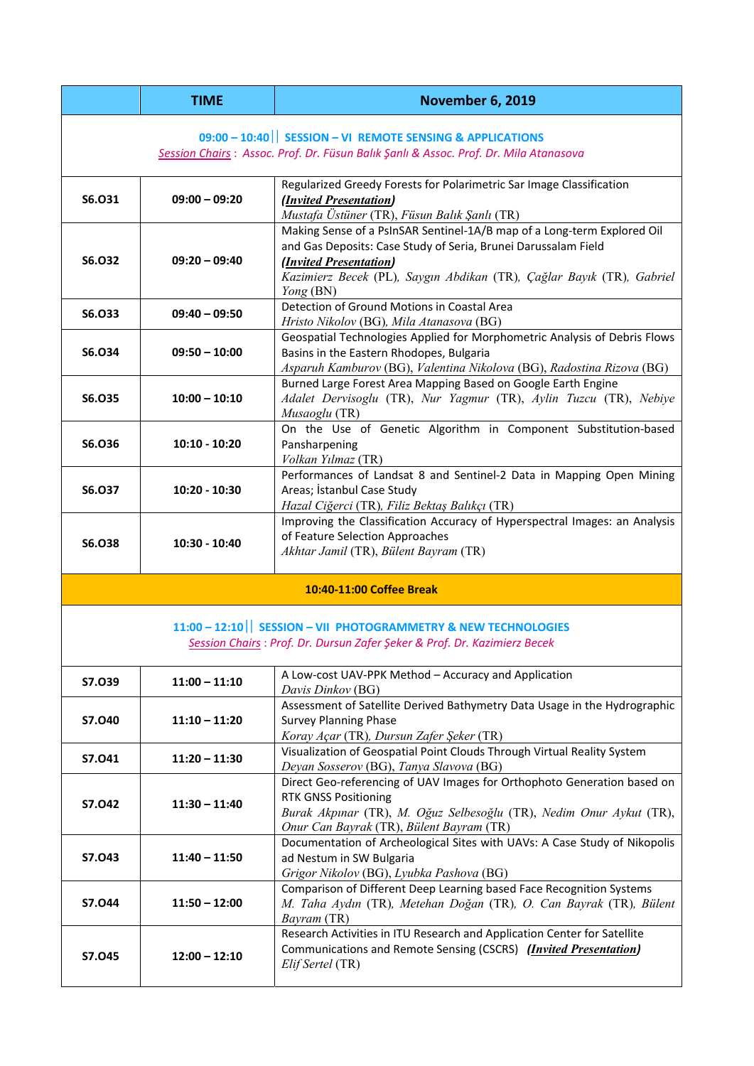|                                                                                      | <b>TIME</b>     | <b>November 6, 2019</b>                                                                                                                                                                                                                                                   |
|--------------------------------------------------------------------------------------|-----------------|---------------------------------------------------------------------------------------------------------------------------------------------------------------------------------------------------------------------------------------------------------------------------|
|                                                                                      |                 | 09:00 - 10:40   SESSION - VI REMOTE SENSING & APPLICATIONS                                                                                                                                                                                                                |
| Session Chairs: Assoc. Prof. Dr. Füsun Balık Şanlı & Assoc. Prof. Dr. Mila Atanasova |                 |                                                                                                                                                                                                                                                                           |
| S6.031                                                                               | $09:00 - 09:20$ | Regularized Greedy Forests for Polarimetric Sar Image Classification<br>( <i>Invited Presentation</i> )<br>Mustafa Üstüner (TR), Füsun Balık Şanlı (TR)                                                                                                                   |
| S6.032                                                                               | $09:20 - 09:40$ | Making Sense of a PsInSAR Sentinel-1A/B map of a Long-term Explored Oil<br>and Gas Deposits: Case Study of Seria, Brunei Darussalam Field<br>( <i>Invited Presentation</i> )<br>Kazimierz Becek (PL), Saygın Abdikan (TR), Çağlar Bayık (TR), Gabriel<br><i>Yong</i> (BN) |
| S6.033                                                                               | $09:40 - 09:50$ | Detection of Ground Motions in Coastal Area<br>Hristo Nikolov (BG), Mila Atanasova (BG)                                                                                                                                                                                   |
| S6.034                                                                               | $09:50 - 10:00$ | Geospatial Technologies Applied for Morphometric Analysis of Debris Flows<br>Basins in the Eastern Rhodopes, Bulgaria<br>Asparuh Kamburov (BG), Valentina Nikolova (BG), Radostina Rizova (BG)                                                                            |
| S6.035                                                                               | $10:00 - 10:10$ | Burned Large Forest Area Mapping Based on Google Earth Engine<br>Adalet Dervisoglu (TR), Nur Yagmur (TR), Aylin Tuzcu (TR), Nebiye<br>Musaoglu (TR)                                                                                                                       |
| S6.036                                                                               | $10:10 - 10:20$ | On the Use of Genetic Algorithm in Component Substitution-based<br>Pansharpening<br>Volkan Yılmaz (TR)                                                                                                                                                                    |
| S6.037                                                                               | 10:20 - 10:30   | Performances of Landsat 8 and Sentinel-2 Data in Mapping Open Mining<br>Areas; İstanbul Case Study<br>Hazal Ciğerci (TR), Filiz Bektaş Balıkçı (TR)                                                                                                                       |
| S6.038                                                                               | 10:30 - 10:40   | Improving the Classification Accuracy of Hyperspectral Images: an Analysis<br>of Feature Selection Approaches<br>Akhtar Jamil (TR), Bülent Bayram (TR)                                                                                                                    |
|                                                                                      |                 | 10:40-11:00 Coffee Break                                                                                                                                                                                                                                                  |
|                                                                                      |                 | 11:00 - 12:10   SESSION - VII PHOTOGRAMMETRY & NEW TECHNOLOGIES<br>Session Chairs: Prof. Dr. Dursun Zafer Şeker & Prof. Dr. Kazimierz Becek                                                                                                                               |
| S7.039                                                                               | $11:00 - 11:10$ | A Low-cost UAV-PPK Method - Accuracy and Application<br>Davis Dinkov (BG)                                                                                                                                                                                                 |
| S7.040                                                                               | $11:10 - 11:20$ | Assessment of Satellite Derived Bathymetry Data Usage in the Hydrographic<br><b>Survey Planning Phase</b><br>Koray Açar (TR), Dursun Zafer Şeker (TR)                                                                                                                     |
| S7.041                                                                               | $11:20 - 11:30$ | Visualization of Geospatial Point Clouds Through Virtual Reality System<br>Deyan Sosserov (BG), Tanya Slavova (BG)                                                                                                                                                        |
| S7.042                                                                               | $11:30 - 11:40$ | Direct Geo-referencing of UAV Images for Orthophoto Generation based on<br><b>RTK GNSS Positioning</b><br>Burak Akpınar (TR), M. Oğuz Selbesoğlu (TR), Nedim Onur Aykut (TR),<br>Onur Can Bayrak (TR), Bülent Bayram (TR)                                                 |
| S7.043                                                                               | $11:40 - 11:50$ | Documentation of Archeological Sites with UAVs: A Case Study of Nikopolis<br>ad Nestum in SW Bulgaria<br>Grigor Nikolov (BG), Lyubka Pashova (BG)                                                                                                                         |
| S7.044                                                                               | $11:50 - 12:00$ | Comparison of Different Deep Learning based Face Recognition Systems<br>M. Taha Aydın (TR), Metehan Doğan (TR), O. Can Bayrak (TR), Bülent<br>Bayram (TR)                                                                                                                 |
| S7.045                                                                               | $12:00 - 12:10$ | Research Activities in ITU Research and Application Center for Satellite<br>Communications and Remote Sensing (CSCRS) ( <i>Invited Presentation</i> )<br>Elif Sertel (TR)                                                                                                 |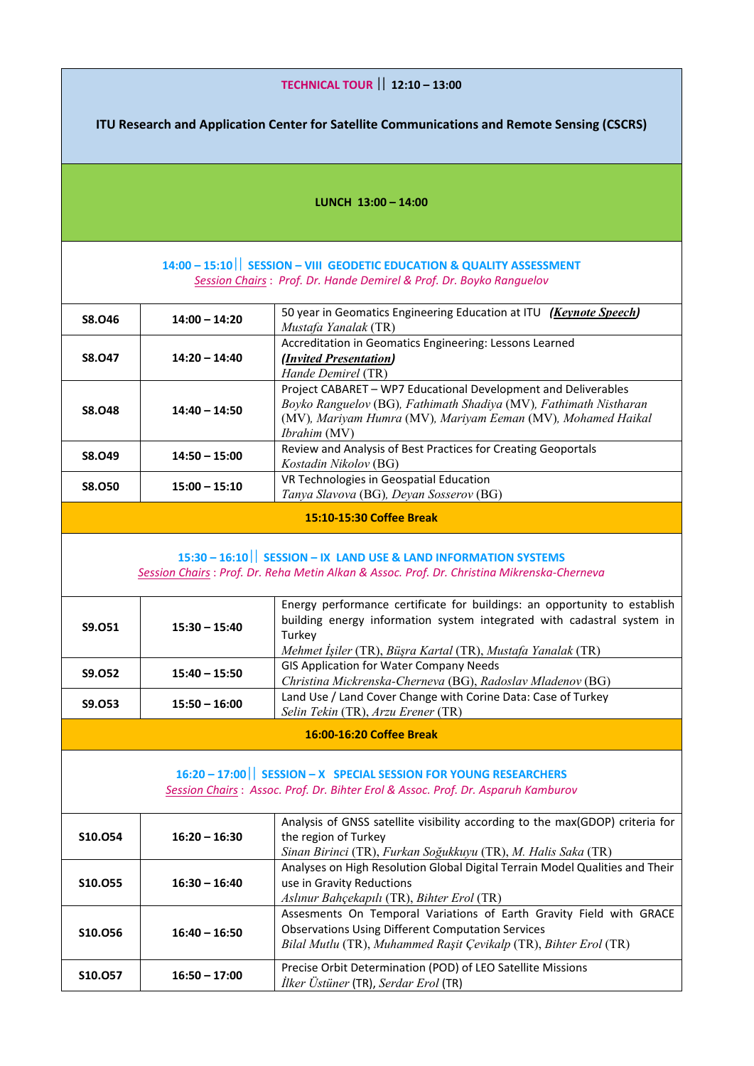| <b>TECHNICAL TOUR   12:10 - 13:00</b>                                                                                                                 |                                                                                                                                                                |                                                                                                                                                                                                                     |  |
|-------------------------------------------------------------------------------------------------------------------------------------------------------|----------------------------------------------------------------------------------------------------------------------------------------------------------------|---------------------------------------------------------------------------------------------------------------------------------------------------------------------------------------------------------------------|--|
| ITU Research and Application Center for Satellite Communications and Remote Sensing (CSCRS)                                                           |                                                                                                                                                                |                                                                                                                                                                                                                     |  |
|                                                                                                                                                       |                                                                                                                                                                |                                                                                                                                                                                                                     |  |
|                                                                                                                                                       |                                                                                                                                                                |                                                                                                                                                                                                                     |  |
|                                                                                                                                                       |                                                                                                                                                                | LUNCH $13:00 - 14:00$                                                                                                                                                                                               |  |
|                                                                                                                                                       |                                                                                                                                                                | 14:00 - 15:10   SESSION - VIII GEODETIC EDUCATION & QUALITY ASSESSMENT                                                                                                                                              |  |
|                                                                                                                                                       |                                                                                                                                                                | Session Chairs: Prof. Dr. Hande Demirel & Prof. Dr. Boyko Ranguelov                                                                                                                                                 |  |
| S8.046                                                                                                                                                | $14:00 - 14:20$                                                                                                                                                | 50 year in Geomatics Engineering Education at ITU (Keynote Speech)<br>Mustafa Yanalak (TR)                                                                                                                          |  |
| S8.047                                                                                                                                                | $14:20 - 14:40$                                                                                                                                                | Accreditation in Geomatics Engineering: Lessons Learned<br>( <i>Invited Presentation</i> )<br>Hande Demirel (TR)                                                                                                    |  |
| S8.048                                                                                                                                                | $14:40 - 14:50$                                                                                                                                                | Project CABARET - WP7 Educational Development and Deliverables<br>Boyko Ranguelov (BG), Fathimath Shadiya (MV), Fathimath Nistharan<br>(MV), Mariyam Humra (MV), Mariyam Eeman (MV), Mohamed Haikal<br>Ibrahim (MV) |  |
| S8.049                                                                                                                                                | $14:50 - 15:00$                                                                                                                                                | Review and Analysis of Best Practices for Creating Geoportals<br>Kostadin Nikolov (BG)                                                                                                                              |  |
| <b>S8.050</b>                                                                                                                                         | $15:00 - 15:10$                                                                                                                                                | VR Technologies in Geospatial Education<br>Tanya Slavova (BG), Deyan Sosserov (BG)                                                                                                                                  |  |
|                                                                                                                                                       |                                                                                                                                                                | 15:10-15:30 Coffee Break                                                                                                                                                                                            |  |
|                                                                                                                                                       | 15:30 - 16:10   SESSION - IX LAND USE & LAND INFORMATION SYSTEMS<br>Session Chairs: Prof. Dr. Reha Metin Alkan & Assoc. Prof. Dr. Christina Mikrenska-Cherneva |                                                                                                                                                                                                                     |  |
| S9.051                                                                                                                                                | $15:30 - 15:40$                                                                                                                                                | Energy performance certificate for buildings: an opportunity to establish<br>building energy information system integrated with cadastral system in                                                                 |  |
|                                                                                                                                                       |                                                                                                                                                                | Turkey<br>Mehmet İşiler (TR), Büşra Kartal (TR), Mustafa Yanalak (TR)                                                                                                                                               |  |
| <b>S9.052</b>                                                                                                                                         | $15:40 - 15:50$                                                                                                                                                | <b>GIS Application for Water Company Needs</b><br>Christina Mickrenska-Cherneva (BG), Radoslav Mladenov (BG)                                                                                                        |  |
| <b>S9.053</b>                                                                                                                                         | $15:50 - 16:00$                                                                                                                                                | Land Use / Land Cover Change with Corine Data: Case of Turkey<br>Selin Tekin (TR), Arzu Erener (TR)                                                                                                                 |  |
|                                                                                                                                                       |                                                                                                                                                                | 16:00-16:20 Coffee Break                                                                                                                                                                                            |  |
| 16:20 - 17:00   SESSION - X SPECIAL SESSION FOR YOUNG RESEARCHERS<br>Session Chairs: Assoc. Prof. Dr. Bihter Erol & Assoc. Prof. Dr. Asparuh Kamburov |                                                                                                                                                                |                                                                                                                                                                                                                     |  |
| S10.054                                                                                                                                               | $16:20 - 16:30$                                                                                                                                                | Analysis of GNSS satellite visibility according to the max(GDOP) criteria for<br>the region of Turkey<br>Sinan Birinci (TR), Furkan Soğukkuyu (TR), M. Halis Saka (TR)                                              |  |
| S10.055                                                                                                                                               | $16:30 - 16:40$                                                                                                                                                | Analyses on High Resolution Global Digital Terrain Model Qualities and Their<br>use in Gravity Reductions<br>Aslınur Bahçekapılı (TR), Bihter Erol (TR)                                                             |  |
| S10.056                                                                                                                                               | $16:40 - 16:50$                                                                                                                                                | Assesments On Temporal Variations of Earth Gravity Field with GRACE<br><b>Observations Using Different Computation Services</b><br>Bilal Mutlu (TR), Muhammed Raşit Çevikalp (TR), Bihter Erol (TR)                 |  |
| S10.057                                                                                                                                               | $16:50 - 17:00$                                                                                                                                                | Precise Orbit Determination (POD) of LEO Satellite Missions<br><i>İlker Üstüner</i> (TR), Serdar Erol (TR)                                                                                                          |  |